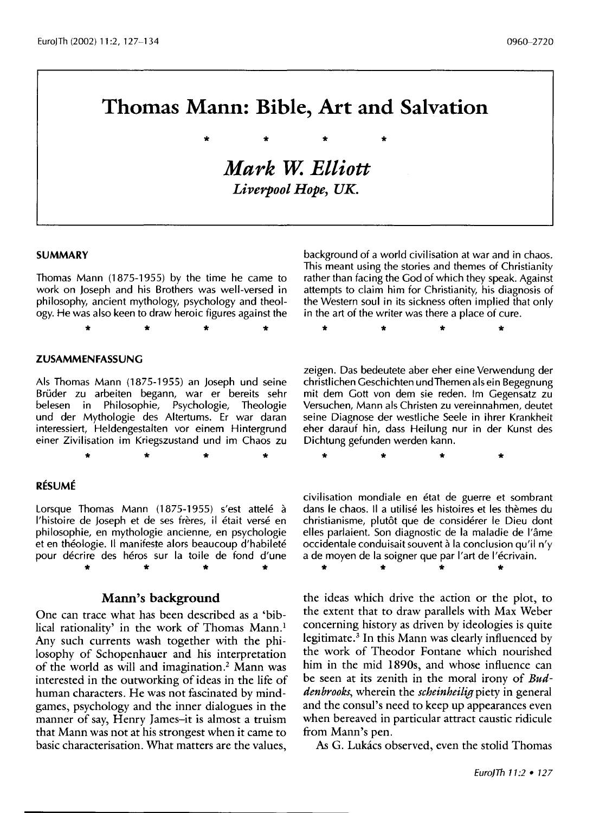# **Thomas Mann: Bible, Art and Salvation**

*Mark* **W.** *Elliott* Liverpool Hope, UK.

\* \* \* \*

#### **SUMMARY**

Thomas Mann (1875-1955) by the time he came to work on joseph and his Brothers was well-versed in philosophy, ancient mythology, psychology and theology. He was also keen to draw heroic figures against the

\* \* \* \*

#### **ZUSAMMENFASSUNG**

Als Thomas Mann (1875-1955) an joseph und seine Brüder zu arbeiten begann, war er bereits sehr belesen in Philosophie, Psychologie, Theologie und der Mythologie des Altertums. Er war daran interessiert, Heldengestalten vor einem Hintergrund einer Zivilisation im Kriegszustand und im Chaos zu

\* \* \* \*

#### **RESUME**

Lorsque Thomas Mann (1875-1955) s'est attelé à l'histoire de Joseph et de ses frères, il était versé en philosophie, en mythologie ancienne, en psychologie et en théologie. Il manifeste alors beaucoup d'habileté pour décrire des héros sur la toile de fond d'une \* \* \* \*

#### **Mann's background**

One can trace what has been described as a 'biblical rationality' in the work of Thomas Mann.<sup>1</sup> Any such currents wash together with the philosophy of Schopenhauer and his interpretation of the world as will and imagination.2 Mann was interested in the outworking of ideas in the life of human characters. He was not fascinated by mindgames, psychology and the inner dialogues in the manner of say, Henry James-it is almost a truism that Mann was not at his strongest when it came to basic characterisation. What matters are the values,

background of a world civilisation at war and in chaos. This meant using the stories and themes of Christianity rather than facing the God of which they speak. Against attempts to claim him for Christianity, his diagnosis of the Western soul in its sickness often implied that only in the art of the writer was there a place of cure.

\* \* \* \*

zeigen. Das bedeutete aber eher eine Verwendung der christlichen Geschichten undThemen als ein Begegnung mit dem Gott von dem sie reden. lm Gegensatz zu Versuchen, Mann als Christen zu vereinnahmen, deutet seine Diagnose der westliche Seele in ihrer Krankheit eher darauf hin, dass Heilung nur in der Kunst des Dichtung gefunden werden kann.

civilisation mondiale en etat de guerre et sombrant dans le chaos. Il a utilisé les histoires et les thèmes du christianisme, plutôt que de considérer le Dieu dont elles parlaient. Son diagnostic de la maladie de l'ame occidentale conduisait souvent à la conclusion qu'il n'y a de moyen de la soigner que par l'art de l'écrivain.

\* \* \* \*

\* \* \* \*

the ideas which drive the action or the plot, to the extent that to draw parallels with Max Weber concerning history as driven by ideologies is quite legitimate.3 In this Mann was clearly influenced by the work of Theodor Fontane which nourished him in the mid 1890s, and whose influence can be seen at its zenith in the moral irony of *Buddenbrooks,* wherein the *scheinheilig* piety in general and the consul's need to keep up appearances even when bereaved in particular attract caustic ridicule from Mann's pen.

As G. Lukács observed, even the stolid Thomas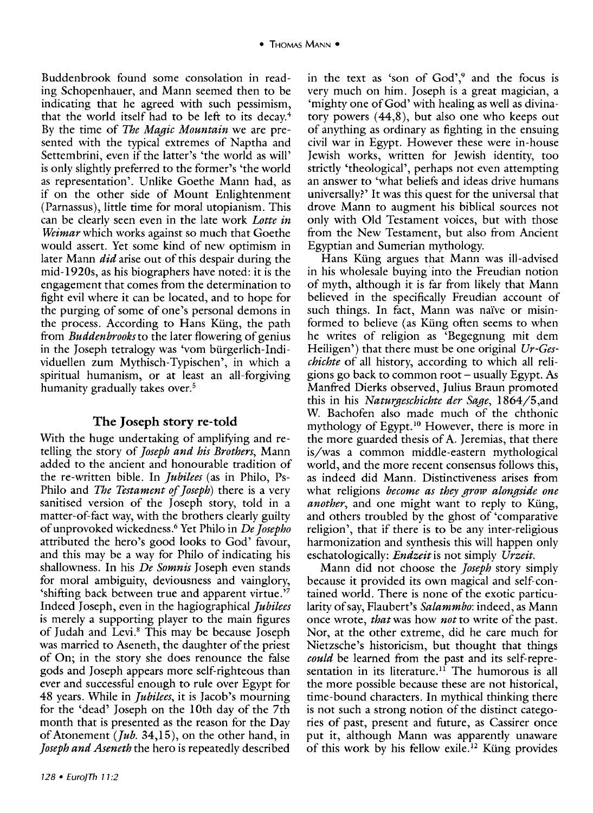Buddenbrook found some consolation in reading Schopenhauer, and Mann seemed then to be indicating that he agreed with such pessimism, that the world itself had to be left to its decay.4 By the time of *The Magic Mountain* we are presented with the typical extremes of Naptha and Settembrini, even if the latter's 'the world as will' is only slightly preferred to the former's 'the world as representation'. Unlike Goethe Mann had, as if on the other side of Mount Enlightenment (Parnassus), little time for moral utopianism. This can be clearly seen even in the late work *Lotte in Weimar* which works against so much that Goethe would assert. Yet some kind of new optimism in later Mann *did* arise out of this despair during the mid -1920s, as his biographers have noted: it is the engagement that comes from the determination to fight evil where it can be located, and to hope for the purging of some of one's personal demons in the process. According to Hans Kiing, the path from *Buddenbrooks* to the later flowering of genius in the Joseph tetralogy was 'vom biirgerlich-Individuellen zum Mythisch-Typischen', in which a spiritual humanism, or at least an all-forgiving humanity gradually takes over.<sup>5</sup>

## **The Joseph story re-told**

With the huge undertaking of amplifying and retelling the story of *Joseph and his Brothers,* Mann added to the ancient and honourable tradition of the re-written bible. In *Jubilees* (as in Philo, Ps-Philo and *The Testament of Joseph)* there is a very sanitised version of the Joseph story, told in a matter-of-fact way, with the brothers clearly guilty of unprovoked wickedness.6 Yet Philo in *De Josepho*  attributed the hero's good looks to God' favour, and this may be a way for Philo of indicating his shallowness. In his *De Somnis* Joseph even stands for moral ambiguity, deviousness and vainglory, 'shifting back between true and apparent virtue. ' 7 Indeed Joseph, even in the hagiographical *Jubilees*  is merely a supporting player to the main figures of Judah and Levi. 8 This may be because Joseph was married to Aseneth, the daughter of the priest of On; in the story she does renounce the false gods and Joseph appears more self-righteous than ever and successful enough to rule over Egypt for 48 years. While in *Jubilees,* it is Jacob's mourning for the 'dead' Joseph on the lOth day of the 7th month that is presented as the reason for the Day of Atonement *Uub.* 34,15), on the other hand, in *Joseph and Aseneth* the hero is repeatedly described

in the text as 'son of God',<sup>9</sup> and the focus is very much on him. Joseph is a great magician, a 'mighty one of God' with healing as well as divinatory powers (44,8), but also one who keeps out of anything as ordinary as fighting in the ensuing civil war in Egypt. However these were in-house Jewish works, written for Jewish identity, too strictly 'theological', perhaps not even attempting an answer to 'what beliefs and ideas drive humans universally?' It was this quest for the universal that drove Mann to augment his biblical sources not only with Old Testament voices, but with those from the New Testament, but also from Ancient Egyptian and Sumerian mythology.

Hans Kiing argues that Mann was ill-advised in his wholesale buying into the Freudian notion of myth, although it is far from likely that Mann believed in the specifically Freudian account of such things. In fact, Mann was naïve or misinformed to believe (as Kiing often seems to when he writes of religion as 'Begegnung mit dem Heiligen') that there must be one original *Ur-Geschichte* of all history, according to which all religions go back to common root  $-$  usually Egypt. As Manfred Dierks observed, Julius Braun promoted this in his *Natur;geschichte der Sage,* 1864/S,and W. Bachofen also made much of the chthonic mythology of Egypt.<sup>10</sup> However, there is more in the more guarded thesis of A. Jeremias, that there is/was a common middle-eastern mythological world, and the more recent consensus follows this, as indeed did Mann. Distinctiveness arises from what religions *become as they grow alongside one another*, and one might want to reply to Küng, and others troubled by the ghost of 'comparative religion', that if there is to be any inter-religious harmonization and synthesis this will happen only eschatologically: *Endzeit* is not simply *Urzeit.* 

Mann did not choose the *Joseph* story simply because it provided its own magical and self-contained world. There is none of the exotic particularity of say, Flaubert's *Salammbo:* indeed, as Mann once wrote, *that* was how *not* to write of the past. Nor, at the other extreme, did he care much for Nietzsche's historicism, but thought that things *could* be learned from the past and its self-representation in its literature.<sup>11</sup> The humorous is all the more possible because these are not historical, time-bound characters. In mythical thinking there is not such a strong notion of the distinct categories of past, present and future, as Cassirer once put it, although Mann was apparently unaware of this work by his fellow exile.<sup>12</sup> Küng provides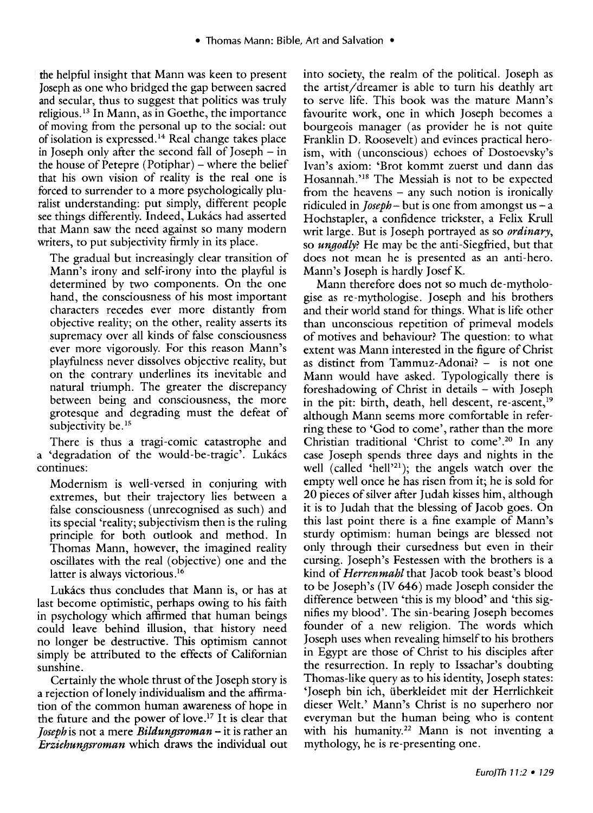the helpful insight that Mann was keen to present Joseph as one who bridged the gap between sacred and secular, thus to suggest that politics was truly religious. 13 In Mann, as in Goethe, the importance ofmoving from the personal up to the social: out of isolation is expressed.<sup>14</sup> Real change takes place in Joseph only after the second fall of Joseph  $-$  in the house of Petepre (Potiphar) – where the belief that his own vision of reality is the real one is forced to surrender to a more psychologically pluralist understanding: put simply, different people see things differently. Indeed, Lukács had asserted that Mann saw the need against so many modern writers, to put subjectivity firmly in its place.

The gradual but increasingly clear transition of Mann's irony and self-irony into the playful is determined by two components. On the one hand, the consciousness of his most important characters recedes ever more distantly from objective reality; on the other, reality asserts its supremacy over all kinds of false consciousness ever more vigorously. For this reason Mann's playfulness never dissolves objective reality, but on the contrary underlines its inevitable and natural triumph. The greater the discrepancy between being and consciousness, the more grotesque and degrading must the defeat of subjectivity be.<sup>15</sup>

There is thus a tragi-comic catastrophe and a 'degradation of the would-be-tragic'. Lukacs continues:

Modernism is well-versed in conjuring with extremes, but their trajectory lies between a false consciousness (unrecognised as such) and its special 'reality; subjectivism then is the ruling principle for both outlook and method. In Thomas Mann, however, the imagined reality oscillates with the real (objective) one and the latter is always victorious.<sup>16</sup>

Lukacs thus concludes that Mann is, or has at last become optimistic, perhaps owing to his faith in psychology which affirmed that human beings could leave behind illusion, that history need no longer be destructive. This optimism cannot simply be attributed to the effects of Californian sunshine.

Certainly the whole thrust of the Joseph story is a rejection of lonely individualism and the affirmation of the common human awareness of hope in the future and the power of love.<sup>17</sup> It is clear that *]oseph* is not a mere *Bildungsroman-* it is rather an *Erziehungsroman* which draws the individual out into society, the realm of the political. Joseph as the artist/ dreamer is able to turn his deathly art to serve life. This book was the mature Mann's favourite work, one in which Joseph becomes a bourgeois manager (as provider he is not quite Franklin D. Roosevelt) and evinces practical heroism, with (unconscious) echoes of Dostoevsky's lvan's axiom: 'Brot kommt zuerst und dann das Hosannah.'18 The Messiah is not to be expected from the heavens  $-$  any such notion is ironically ridiculed in *]oseph-* but is one from amongst us- a Hochstapler, a confidence trickster, a Felix Krull writ large. But is Joseph portrayed as so *ordinary,*  so *ungodly?* He may be the anti-Siegfried, but that does not mean he is presented as an anti-hero. Mann's Joseph is hardly JosefK.

Mann therefore does not so much de-mythologise as re-mythologise. Joseph and his brothers and their world stand for things. What is life other than unconscious repetition of primeval models of motives and behaviour? The question: to what extent was Mann interested in the figure of Christ as distinct from Tammuz-Adonai? - is not one Mann would have asked. Typologically there is foreshadowing of Christ in details - with Joseph in the pit: birth, death, hell descent, re-ascent, 19 although Mann seems more comfortable in referring these to 'God to come', rather than the more Christian traditional 'Christ to come'.<sup>20</sup> In any case Joseph spends three days and nights in the well (called 'hell'<sup>21</sup>); the angels watch over the empty well once he has risen from it; he is sold for 20 pieces of silver after Judah kisses him, although it is to Judah that the blessing of Jacob goes. On this last point there is a fine example of Mann's sturdy optimism: human beings are blessed not only through their cursedness but even in their cursing. Joseph's Festessen with the brothers is a kind of *Herrenmahl* that Jacob took beast's blood to be Joseph's (IV 646) made Joseph consider the difference between 'this is my blood' and 'this signifies my blood'. The sin-bearing Joseph becomes founder of a new religion. The words which Joseph uses when revealing himself to his brothers in Egypt are those of Christ to his disciples after the resurrection. In reply to Issachar's doubting Thomas-like query as to his identity, Joseph states: 'Joseph bin ich, iiberkleidet mit der Herrlichkeit dieser Welt.' Mann's Christ is no superhero nor everyman but the human being who is content with his humanity.<sup>22</sup> Mann is not inventing a mythology, he is re-presenting one.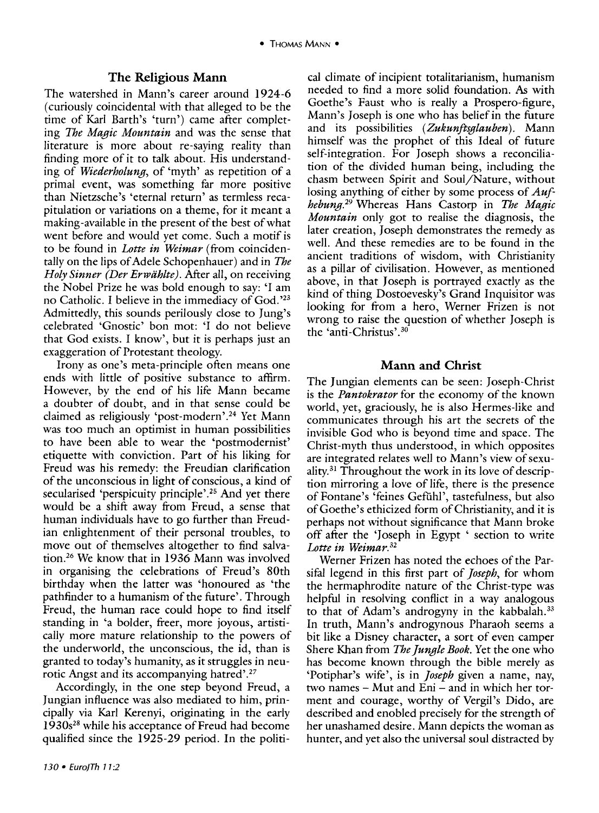#### **The Religious Mann**

The watershed in Mann's career around 1924-6 (curiously coincidental with that alleged to be the time of Karl Earth's 'turn') came after completing *The Magic Mountain* and was the sense that literature is more about re-saying reality than finding more of it to talk about. His understanding of *Wiederholung,* of 'myth' as repetition of a primal event, was something far more positive than Nietzsche's 'eternal return' as termless recapitulation or variations on a theme, for it meant a making-available in the present of the best of what went before and would yet come. Such a motif is to be found in *Lotte in Weimar* (from coincidentally on the lips of Adele Schopenhauer) and in *The Holy Sinner (Der Erwiihlte).* After all, on receiving the Nobel Prize he was bold enough to say: 'I am no Catholic. I believe in the immediacy of God.'23 Admittedly, this sounds perilously close to Jung's celebrated 'Gnostic' boo mot: 'I do not believe that God exists. I know', but it is perhaps just an exaggeration of Protestant theology.

Irony as one's meta-principle often means one ends with little of positive substance to affirm. However, by the end of his life Mann became a doubter of doubt, and in that sense could be claimed as religiously 'post-modern'.24 Yet Mann was too much an optimist in human possibilities to have been able to wear the 'postmodernist' etiquette with conviction. Part of his liking for Freud was his remedy: the Freudian clarification of the unconscious in light of conscious, a kind of secularised 'perspicuity principle'.<sup>25</sup> And yet there would be a shift away from Freud, a sense that human individuals have to go further than Freudian enlightenment of their personal troubles, to move out of themselves altogether to find salvation.26 We know that in 1936 Mann was involved in organising the celebrations of Freud's 80th birthday when the latter was 'honoured as 'the pathfinder to a humanism of the future'. Through Freud, the human race could hope to find itself standing in 'a bolder, freer, more joyous, artistically more mature relationship to the powers of the underworld, the unconscious, the id, than is granted to today's humanity, as it struggles in neurotic Angst and its accompanying hatred'.<sup>27</sup>

Accordingly, in the one step beyond Freud, a Jungian influence was also mediated to him, principally via Karl Kerenyi, originating in the early 1930s<sup>28</sup> while his acceptance of Freud had become qualified since the 1925-29 period. In the politi-

cal climate of incipient totalitarianism, humanism needed to find a more solid foundation. As with Goethe's Faust who is really a Prospero-figure, Mann's Joseph is one who has belief in the future and its possibilities *(Zukunftsglauben).* Mann himself was the prophet of this Ideal of future self-integration. For Joseph shows a reconciliation of the divided human being, including the chasm between Spirit and Soul/Nature, without losing anything of either by some process of *Aufhebung.* 29 Whereas Hans Castorp in *The Magic Mountain* only got to realise the diagnosis, the later creation, Joseph demonstrates the remedy as well. And these remedies are to be found in the ancient traditions of wisdom, with Christianity as a pillar of civilisation. However, as mentioned above, in that Joseph is portrayed exactly as the kind of thing Dostoevesky's Grand Inquisitor was looking for from a hero, Werner Frizen is not wrong to raise the question of whether Joseph is the 'anti-Christus'.30

## **Mann and Christ**

The Jungian elements can be seen: Joseph-Christ is the *Pantokrator* for the economy of the known world, yet, graciously, he is also Hermes-like and communicates through his art the secrets of the invisible God who is beyond time and space. The Christ-myth thus understood, in which opposites are integrated relates well to Mann's view of sexuality. 31 Throughout the work in its love of description mirroring a love of life, there is the presence of Fontane's 'feines Gefühl', tastefulness, but also ofGoethe's ethicized form of Christianity, and it is perhaps not without significance that Mann broke off after the 'Joseph in Egypt ' section to write *Lotte in Weimar.* <sup>32</sup>

Werner Frizen has noted the echoes of the Parsifal legend in this first part of *]oseph,* for whom the hermaphrodite nature of the Christ-type was helpful in resolving conflict in a way analogous to that of Adam's androgyny in the kabbalah.<sup>33</sup> In truth, Mann's androgynous Pharaoh seems a bit like a Disney character, a sort of even camper Shere Khan from *The Jungle Book.* Yet the one who has become known through the bible merely as 'Potiphar's wife', is in *]oseph* given a name, nay, two names – Mut and Eni – and in which her torment and courage, worthy of Vergil's Dido, are described and enobled precisely for the strength of her unashamed desire. Mann depicts the woman as hunter, and yet also the universal soul distracted by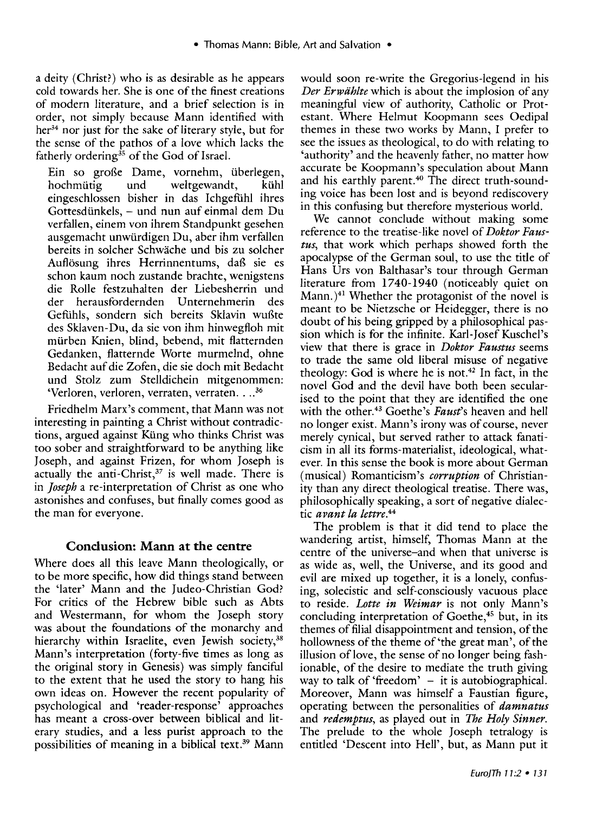a deity (Christ?) who is as desirable as he appears cold towards her. She is one of the finest creations of modern literature, and a brief selection is in order, not simply because Mann identified with her<sup>34</sup> nor just for the sake of literary style, but for the sense of the pathos of a love which lacks the fatherly ordering $35$  of the God of Israel.

Ein so große Dame, vornehm, überlegen,<br>hochmütig und weltgewandt, kühl hochmütig und weltgewandt, eingeschlossen bisher in das Ichgefiihl ihres Gottesdiinkels,- und nun auf einmal dem Du verfallen, einem von ihrem Standpunkt gesehen ausgemacht unwiirdigen Du, aber ihm verfallen bereits in solcher Schwache und bis zu solcher Auflosung ihres Herrinnentums, daB sie es schon kaum noch zustande brachte, wenigstens die Rolle festzuhalten der Liebesherrin und der herausfordernden Unternehmerin des Gefiihls, sondern sich bereits Sklavin wuBte des Sklaven-Du, da sie von ihm hinwegfloh mit miirben Knien, blind, bebend, mit flatternden Gedanken, flatternde Worte murmelnd, ohne Bedacht auf die Zofen, die sie doch mit Bedacht und Stolz zum Stelldichein mitgenommen: 'Verloren, verloren, verraten, verraten...<sup>36</sup>

Friedhelm Marx's comment, that Mann was not interesting in painting a Christ without contradictions, argued against Kiing who thinks Christ was too sober and straightforward to be anything like Joseph, and against Frizen, for whom Joseph is actually the anti-Christ, $37$  is well made. There is in *]oseph* a re-interpretation of Christ as one who astonishes and confuses, but finally comes good as the man for everyone.

## **Conclusion: Mann at the centre**

Where does all this leave Mann theologically, or to be more specific, how did things stand between the 'later' Mann and the Judeo-Christian God? For critics of the Hebrew bible such as Abts and Westermann, for whom the Joseph story was about the foundations of the monarchy and hierarchy within Israelite, even Jewish society,<sup>38</sup> Mann's interpretation (forty-five times as long as the original story in Genesis) was simply fanciful to the extent that he used the story to hang his own ideas on. However the recent popularity of psychological and 'reader-response' approaches has meant a cross-over between biblical and literary studies, and a less purist approach to the possibilities of meaning in a biblical text.<sup>39</sup> Mann

would soon re-write the Gregorius-legend in his *Der Erwahlte* which is about the implosion of any meaningful view of authority, Catholic or Protestant. Where Helmut Koopmann sees Oedipal themes in these two works by Mann, I prefer to see the issues as theological, to do with relating to 'authority' and the heavenly father, no matter how accurate be Koopmann's speculation about Mann and his earthly parent.<sup>40</sup> The direct truth-sounding voice has been lost and is beyond rediscovery in this confusing but therefore mysterious world.

We cannot conclude without making some reference to the treatise-like novel of *Doktor Faustus,* that work which perhaps showed forth the apocalypse of the German soul, to use the title of Hans Urs von Balthasar's tour through German literature from 1740-1940 (noticeably quiet on Mann. ) 41 Whether the protagonist of the novel is meant to be Nietzsche or Heidegger, there is no doubt of his being gripped by a philosophical passion which is for the infinite. Karl-Josef Kuschel's view that there is grace in *Doktor Faustus* seems to trade the same old liberal misuse of negative theology: God is where he is not.<sup>42</sup> In fact, in the novel God and the devil have both been secularised to the point that they are identified the one with the other.<sup>43</sup> Goethe's *Faust*'s heaven and hell no longer exist. Mann's irony was of course, never merely cynical, but served rather to attack fanaticism in all its forms-materialist, ideological, whatever. In this sense the book is more about German (musical) Romanticism's *corruption* of Christianity than any direct theological treatise. There was, philosophically speaking, a sort of negative dialectic *avant la lettre.44* 

The problem is that it did tend to place the wandering artist, himself, Thomas Mann at the centre of the universe-and when that universe is as wide as, well, the Universe, and its good and evil are mixed up together, it is a lonely, confusing, solecistic and self-consciously vacuous place to reside. *Lotte in Weimar* is not only Mann's concluding interpretation of Goethe,<sup>45</sup> but, in its themes of filial disappointment and tension, of the hollowness of the theme of 'the great man', of the illusion of love, the sense of no longer being fashionable, of the desire to mediate the truth giving way to talk of 'freedom'  $-$  it is autobiographical. Moreover, Mann was himself a Faustian figure, operating between the personalities of *damnatus*  and *redemptus,* as played out in *The Holy Sinner.*  The prelude to the whole Joseph tetralogy is entitled 'Descent into Hell', but, as Mann put it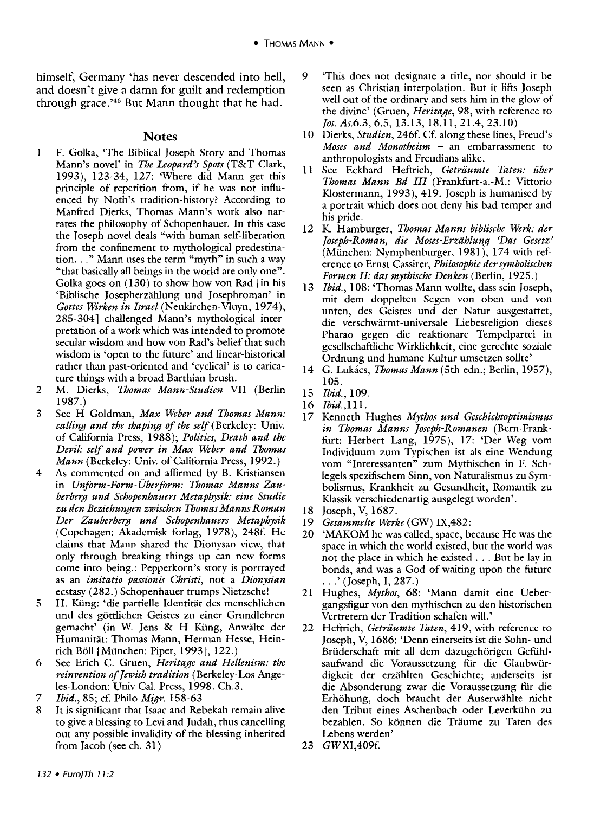himself, Germany 'has never descended into hell, and doesn't give a damn for guilt and redemption through grace.'46 But Mann thought that he had.

#### **Notes**

- 1 F. Golka, 'The Biblical Joseph Story and Thomas Mann's novel' in *The Leopard)s Spots* (T&T Clark, 1993), 123-34, 127: 'Where did Mann get this principle of repetition from, if he was not influenced by Noth's tradition-history? According to Manfred Dierks, Thomas Mann's work also narrates the philosophy of Schopenhauer. In this case the Joseph novel deals "with human self-liberation from the confinement to mythological predestination. . ." Mann uses the term "myth" in such a way "that basically all beings in the world are only one". Golka goes on (130) to show how von Rad [in his 'Biblische Josepherzahlung und Josephroman' in *Gottes Wirken in Israel* (Neukirchen-Vluyn, 1974), 285-304] challenged Mann's mythological interpretation of a work which was intended to promote secular wisdom and how von Rad's belief that such wisdom is 'open to the future' and linear-historical rather than past-oriented and 'cyclical' is to caricature things with a broad Barthian brush.
- 2 M. Dierks, *Thomas Mann-Studien* VII (Berlin 1987.)
- 3 See H Goldman, *Max Weber and Thomas Mann: calling and the shaping of the self* (Berkeley: Univ. of California Press, 1988 ); *Politics) Death and the Devil: self and power in Max Weber and Thomas M ann* (Berkeley: Univ. of California Press, 1992.)
- 4 As commented on and affirmed by B. Kristiansen in *Unform-Form-Uberform: Thomas Manns Zauberbet;g und Schopenhauers Metaphysik: eine Studie zu den Beziehungen zwischen Thomas Manns Roman Der Zauberbet;g und Schopenhauers Metaphysik*  (Copehagen: Akademisk forlag, 1978), 248f. He claims that Mann shared the Dionysan view, that only through breaking things up can new forms come into being.: Pepperkorn's story is portrayed as an *imitatio passionis Christi,* not a *Dionysian*  ecstasy (282.) Schopenhauer trumps Nietzsche!
- 5 H. Kiing: 'die partielle Identitat des menschlichen und des gottlichen Geistes zu einer Grundlehren gemacht' (in W. Jens & H Kiing, Anwalte der Humanität: Thomas Mann, Herman Hesse, Heinrich Boil [Miinchen: Piper, 1993], 122.)
- 6 See Erich C. Gruen, *Heritage and Hellenism: the reinvention of Jewish tradition* (Berkeley-Los Angeles-London: Univ Cal. Press, 1998. Ch.3.
- 7 *Ibid.,* 85; cf. Philo *Migr.* 158-63
- 8 It is significant that Isaac and Rebekah remain alive to give a blessing to Levi and Judah, thus cancelling out any possible invalidity of the blessing inherited from Jacob (see eh. 31)
- 9 'This does not designate a title, nor should it be seen as Christian interpolation. But it lifts Joseph well out of the ordinary and sets him in the glow of the divine' (Gruen, *Heritage,* 98, with reference to *]os. As.6.3,* 6.5, 13.13, 18.11, 21.4, 23.10)
- 10 Dierks, *Studien,* 246f. Cf. along these lines, Freud's *Moses and Monotheism* - an embarrassment to anthropologists and Freudians alike.
- 11 See Eckhard Heftrich, *Getriiumte Taten: uber Thomas Mann Bd III* (Frankfurt-a.-M.: Vittorio Klostermann, 1993), 419. Joseph is humanised by a portrait which does not deny his bad temper and his pride.
- 12 K Hamburger, *Thomas Manns biblische Werk: der ]oseph-Roman) die Moses-Erziihlung <Das Gesetz)*  (Miinchen: Nymphenburger, 1981), 174 with ref erence to Ernst Cassirer, *Philosophic der symbolischen Formen II: das mythische Denken* (Berlin, 1925.)
- 13 *Ibid.*, 108: 'Thomas Mann wollte, dass sein Joseph, mit dem doppelten Segen von oben und von unten, des Geistes und der Natur ausgestattet, die verschwarmt-universale Liebesreligion dieses Pharao gegen die reaktionare Tempelpartei in gesellschaftliche Wirklichkeit, eine gerechte soziale Ordnung und humane Kultur umsetzen sollte'
- 14 G. Lukacs, *Thomas Mann* (5th edn.; Berlin, 1957), 105.
- 15 *Ibid.,* 109.
- 16 *Ibid.,lll.*
- 17 Kenneth Hughes *Mythos und Geschichtoptimismus in Thomas Manns ]oseph-Romanen* (Bern-Frankfurt: Herbert Lang, 1975), 17: 'Der Weg vom Individuum zum Typischen ist als eine Wendung vom "Interessanten" zum Mythischen in F. Schlegels spezifischem Sinn, von Naturalismus zu Symbolismus, Krankheit zu Gesundheit, Romantik zu Klassik verschiedenartig ausgelegt worden'.
- 18 Joseph, V, 1687.
- 19 *Gesammelte Werke* (GW) IX,482:
- 20 'MAKOM he was called, space, because He was the space in which the world existed, but the world was not the place in which he existed ... But he lay in bonds, and was a God of waiting upon the future ... ' (Joseph, I, 287.)
- 21 Hughes, *Mythos,* 68: 'Mann damit eine Uebergangsfigur von den mythischen zu den historischen Vertretern der Tradition schafen will.'
- 22 Heftrich, *Getriiumte Taten,* 419, with reference to Joseph, V, 1686: 'Denn einerseits ist die Sohn- und Brüderschaft mit all dem dazugehörigen GefühlsaufWand die Voraussetzung fiir die Glaubwiirdigkeit der erzahlten Geschichte; anderseits ist die Absonderung zwar die Voraussetzung fiir die Erhohung, doch braucht der Auserwahlte nicht den Tribut eines Aschenbach oder Leverkiihn zu bezahlen. So konnen die Traume zu Taten des Lebens werden'
- 23 GWXI,409f.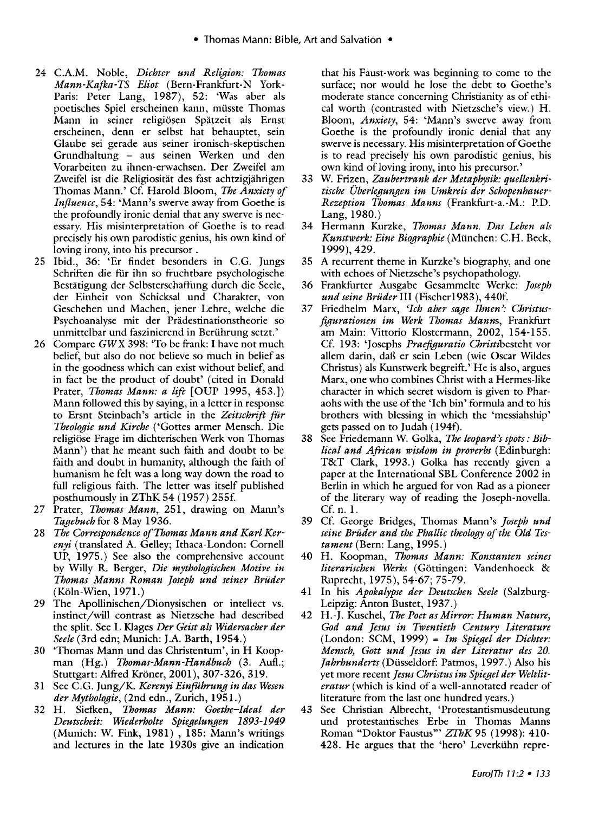- 24 C.A.M. Noble, *Dichter und Religion: Thomas Mann-Kajka-TS Eliot* (Bern-Frankfurt-N York-Paris: Peter Lang, 1987), 52: 'Was aber als poetisches Spiel erscheinen kann, miisste Thomas Mann in seiner religiösen Spätzeit als Ernst erscheinen, denn er selbst hat behauptet, sein Glaube sei gerade aus seiner ironisch-skeptischen Grundhaltung - aus seinen Werken und den Vorarbeiten zu ihnen-erwachsen. Der Zweifel am Zweifel ist die Religiosität des fast achtzigjährigen Thomas Mann.' Cf. Harold Bloom, *The Anxiety of Influence,* 54: 'Mann's swerve away from Goethe is the profoundly ironic denial that any swerve is necessary. His misinterpretation of Goethe is to read precisely his own parodistic genius, his own kind of loving irony, into his precursor .
- 25 Ibid., 36: 'Er finder besonders in C.G. Jungs Schriften die für ihn so fruchtbare psychologische Bestiitigung der Selbsterschaffung durch die Seele, der Einheit von Schicksal und Charakter, von Geschehen und Machen, jener Lehre, welche die Psychoanalyse mit der Prädestinationstheorie so unmittelbar und faszinierend in Beriihrung setzt.'
- 26 Compare *GWX* 398: 'To be frank: I have not much belief, but also do not believe so much in belief as in the goodness which can exist without belief, and in fact be the product of doubt' (cited in Donald Prater, *Thomas Mann: a life* [OUP 1995, 453.]) Mann followed this by saying, in a letter in response to Ersnt Steinbach's article in the *Zeitschrift fur Theologie und Kirche* ('Gottes armer Mensch. Die religiose Frage im dichterischen Werk von Thomas Mann') that he meant such faith and doubt to be faith and doubt in humanity, although the faith of humanism he felt was a long way down the road to full religious faith. The letter was itself published posthumously in ZThK 54 (1957) 255f.
- 27 Prater, *Thomas Mann,* 251, drawing on Mann's *Tagebuch* for 8 May 1936.
- 28 *The Correspondence of Thomas Mann and Karl Kerenyi* (translated A. Gelley; Ithaca-London: Cornell UP, 1975.) See also the comprehensive account by Willy R. Berger, *Die mythologischen Motive in Thomas Manns Roman Joseph und seiner Briider*  (Koln-Wien, 1971.)
- 29 The Apollinischen/Dionysischen or intellect vs. instinct/will contrast as Nietzsche had described the split. See L Klages *Der Geist als Widersacher der Seele* (3rd edn; Munich: J.A. Barth, 1954.)
- 30 'Thomas Mann und das Christentum', in H Koopman (Hg.) *Thomas-Mann-Handbuch* (3. Aufl.; Stuttgart: Alfred Kröner, 2001), 307-326, 319.
- 31 See C.G. Jung/K *Kerenyi Einftihrung in das Wesen der Mythologie,* (2nd edn., Zurich, 1951.)
- 32 H. Siefken, *Thomas Mann: Goethe-Ideal der Deutscheit: Wiederholte Spiegelungen 1893-1949*  (Munich: W. Fink, 1981) , 185: Mann's writings and lectures in the late 1930s give an indication

that his Faust-work was beginning to come to the surface; nor would he lose the debt to Goethe's moderate stance concerning Christianity as of ethical worth (contrasted with Nietzsche's view.) H. Bloom, *Anxiety,* 54: 'Mann's swerve away from Goethe is the profoundly ironic denial that any swerve is necessary. His misinterpretation of Goethe is to read precisely his own parodistic genius, his own kind of loving irony, into his precursor.'

- 33 W. Frizen, *Zaubertrank der Metaphysik: quellenkritische Oberlegungen im Umkreis der Schopenhauer-Rezeption Thomas Manns* (Frankfurt-a.-M.: P.D. Lang, 1980.)
- 34 Hermann Kurzke, *Thomas Mann. Das Leben als Kunstwerk: Eine Biographic* (Miinchen: C.H. Beck, 1999), 429.
- 35 A recurrent theme in Kurzke's biography, and one with echoes of Nietzsche's psychopathology.
- 36 Frankfurter Ausgabe Gesammelte Werke: *Joseph und seine Briider* Ill (Fischer 1983 ), 440f.
- 37 Friedhelm Marx, *Tch aber sage Ihnen'*: Christus*figurationen im Werk Thomas Manns,* Frankfurt am Main: Vittorio Klostermann, 2002, 154-155. Cf. 193: 'Josephs *Praefiguratio* Christtbesteht vor allem darin, daB er sein Leben (wie Oscar Wildes Christus) als Kunstwerk begreift.' He is also, argues Marx, one who combines Christ with a Hermes-like character in which secret wisdom is given to Pharaohs with the use of the 'Ich bin' formula and to his brothers with blessing in which the 'messiahship' gets passed on to Judah (194f).
- 38 See Friedemann W. Golka, *The leopard's spots : Biblical and African wisdom in proverbs* (Edinburgh: T&T Clark, 1993.) Golka has recently given a paper at the International SBL Conference 2002 in Berlin in which he argued for von Rad as a pioneer of the literary way of reading the Joseph-novella. Cf. n. l.
- 39 Cf. George Bridges, Thomas Mann's *Joseph und seine Briider and the Phallic theology of the Old Testament* (Bern: Lang, 1995.)
- 40 H. Koopman, *Thomas Mann: Konstanten seines literarischen Werks* ( Gottingen: Vandenhoeck & Ruprecht, 1975), 54-67; 75-79.
- 41 In his *Apokalypse der Deutschen Seele* (Salzburg-Leipzig: Anton Bustet, 1937.)
- 42 H.-J. Kuschel, *The Poet as Mirror: Human Nature, God and Jesus in Twentieth Century Literature*  (London: SCM, 1999) = *Im Spiegel der Dichter: Mensch, Gott und Jesus in der Literatur des 20. Jahrhunderts* (Diisseldorf: Patmos, 1997.) Also his yet more recent *Jesus Christus im Spiegel der Weltliteratur* (which is kind of a well-annotated reader of literature from the last one hundred years.)
- 43 See Christian Albrecht, 'Protestantismusdeutung und protestantisches Erbe in Thomas Manns Roman "Doktor Faustus"' *ZThK95* (1998): 410- 428. He argues that the 'hero' Leverkiihn repre-